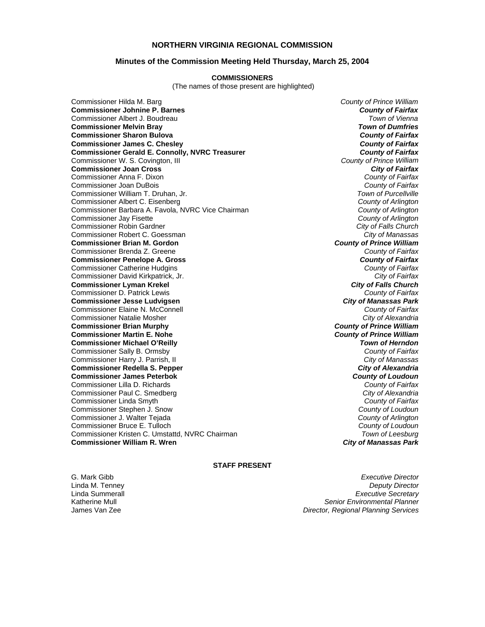## **NORTHERN VIRGINIA REGIONAL COMMISSION**

### **Minutes of the Commission Meeting Held Thursday, March 25, 2004**

#### **COMMISSIONERS**

(The names of those present are highlighted)

Commissioner Hilda M. Barg *County of Prince William* **Commissioner Johnine P. Barnes** *County of Fairfax* Commissioner Albert J. Boudreau *Town of Vienna* **Commissioner Melvin Bray** *Town of Dumfries* **Commissioner Sharon Bulova** *County of Fairfax* **Commissioner James C. Chesley** *County of Fairfax* **Commissioner Gerald E. Connolly, NVRC Treasurer** *County of Fairfax* Commissioner W. S. Covington, III *County of Prince William* **Commissioner Joan Cross** *City of Fairfax* Commissioner Anna F. Dixon *County of Fairfax* Commissioner Joan DuBois *County of Fairfax* Commissioner William T. Druhan, Jr. *Town of Purcellville* Commissioner Albert C. Eisenberg *County of Arlington* Commissioner Barbara A. Favola, NVRC Vice Chairman *County of Arlington*<br>
County of Arlington<br>
County of Arlington Commissioner Jay Fisette *County of Arlington* Commissioner Robin Gardner *City of Falls Church* Commissioner Robert C. Goessman *City of Manassas* **Commissioner Brian M. Gordon** *County of Prince William* Commissioner Brenda Z. Greene *County of Fairfax* **Commissioner Penelope A. Gross** *County of Fairfax* Commissioner Catherine Hudgins *County of Fairfax* Commissioner David Kirkpatrick, Jr. *City of Fairfax* **Commissioner Lyman Krekel** *City of Falls Church* Commissioner D. Patrick Lewis *County of Fairfax* **Commissioner Jesse Ludvigsen** *City of Manassas Park* Commissioner Elaine N. McConnell *County of Fairfax* Commissioner Natalie Mosher *City of Alexandria* **Commissioner Brian Murphy** *County of Prince William* **Commissioner Martin E. Nohe** *County of Prince William* **Commissioner Michael O'Reilly** *Town of Herndon* Commissioner Sally B. Ormsby *County of Fairfax* Commissioner Harry J. Parrish, II *City of Manassas* **Commissioner Redella S. Pepper** *City of Alexandria* **Commissioner James Peterbok** *County of Loudoun* Commissioner Lilla D. Richards *County of Fairfax* Commissioner Paul C. Smedberg *City of Alexandria* Commissioner Linda Smyth *County of Fairfax* Commissioner Stephen J. Snow *County of Loudoun* Commissioner J. Walter Tejada *County of Arlington* Commissioner Bruce E. Tulloch *County of Loudoun* Commissioner Kristen C. Umstattd, NVRC Chairman *Town of Leesburg* **Commissioner William R. Wren** *City of Manassas Park*

## **STAFF PRESENT**

G. Mark Gibb *Executive Director* Linda M. Tenney *Deputy Director* Linda Summerall *Executive Secretary* **Senior Environmental Planner** James Van Zee *Director, Regional Planning Services*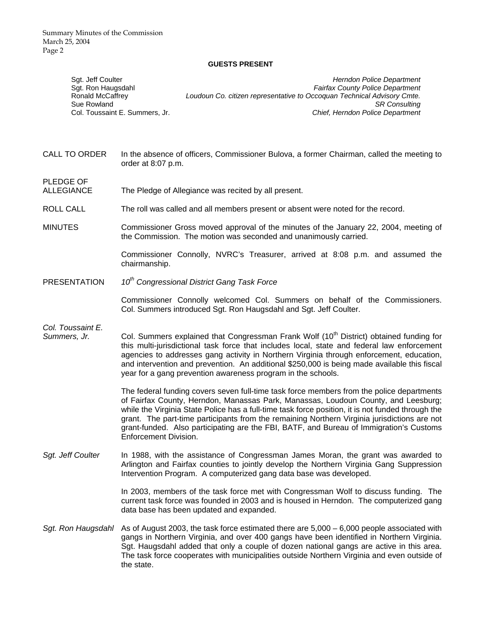Summary Minutes of the Commission March 25, 2004 Page 2

#### **GUESTS PRESENT**

| Sgt. Jeff Coulter              | Herndon Police Department                                               |
|--------------------------------|-------------------------------------------------------------------------|
| Sgt. Ron Haugsdahl             | <b>Fairfax County Police Department</b>                                 |
| Ronald McCaffrev               | Loudoun Co. citizen representative to Occoquan Technical Advisory Cmte. |
| Sue Rowland                    | <b>SR Consulting</b>                                                    |
| Col. Toussaint E. Summers. Jr. | Chief, Herndon Police Department                                        |

CALL TO ORDER In the absence of officers, Commissioner Bulova, a former Chairman, called the meeting to order at 8:07 p.m.

PLEDGE OF

ALLEGIANCE The Pledge of Allegiance was recited by all present.

ROLL CALL The roll was called and all members present or absent were noted for the record.

MINUTES Commissioner Gross moved approval of the minutes of the January 22, 2004, meeting of the Commission. The motion was seconded and unanimously carried.

> Commissioner Connolly, NVRC's Treasurer, arrived at 8:08 p.m. and assumed the chairmanship.

PRESENTATION *10th Congressional District Gang Task Force*

 Commissioner Connolly welcomed Col. Summers on behalf of the Commissioners. Col. Summers introduced Sgt. Ron Haugsdahl and Sgt. Jeff Coulter.

*Col. Toussaint E.* 

*Summers, Jr.* **Col. Summers explained that Congressman Frank Wolf (10<sup>th</sup> District) obtained funding for** this multi-jurisdictional task force that includes local, state and federal law enforcement agencies to addresses gang activity in Northern Virginia through enforcement, education, and intervention and prevention. An additional \$250,000 is being made available this fiscal year for a gang prevention awareness program in the schools.

> The federal funding covers seven full-time task force members from the police departments of Fairfax County, Herndon, Manassas Park, Manassas, Loudoun County, and Leesburg; while the Virginia State Police has a full-time task force position, it is not funded through the grant. The part-time participants from the remaining Northern Virginia jurisdictions are not grant-funded. Also participating are the FBI, BATF, and Bureau of Immigration's Customs Enforcement Division.

*Sgt. Jeff Coulter* In 1988, with the assistance of Congressman James Moran, the grant was awarded to Arlington and Fairfax counties to jointly develop the Northern Virginia Gang Suppression Intervention Program. A computerized gang data base was developed.

> In 2003, members of the task force met with Congressman Wolf to discuss funding. The current task force was founded in 2003 and is housed in Herndon. The computerized gang data base has been updated and expanded.

*Sgt. Ron Haugsdahl* As of August 2003, the task force estimated there are 5,000 – 6,000 people associated with gangs in Northern Virginia, and over 400 gangs have been identified in Northern Virginia. Sgt. Haugsdahl added that only a couple of dozen national gangs are active in this area. The task force cooperates with municipalities outside Northern Virginia and even outside of the state.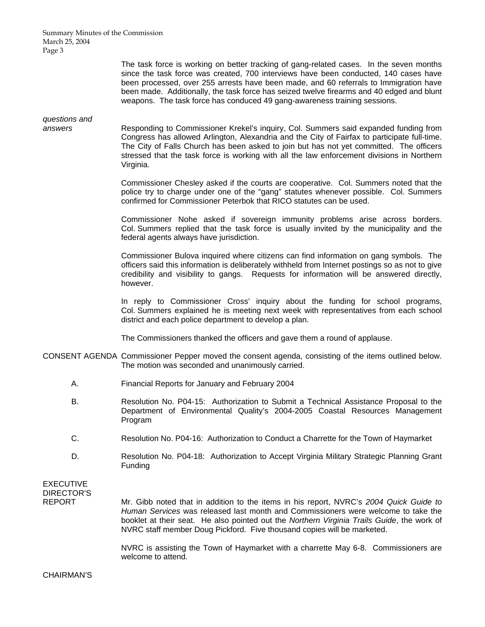Summary Minutes of the Commission March 25, 2004 Page 3

> The task force is working on better tracking of gang-related cases. In the seven months since the task force was created, 700 interviews have been conducted, 140 cases have been processed, over 255 arrests have been made, and 60 referrals to Immigration have been made. Additionally, the task force has seized twelve firearms and 40 edged and blunt weapons. The task force has conduced 49 gang-awareness training sessions.

*questions and* 

*answers* Responding to Commissioner Krekel's inquiry, Col. Summers said expanded funding from Congress has allowed Arlington, Alexandria and the City of Fairfax to participate full-time. The City of Falls Church has been asked to join but has not yet committed. The officers stressed that the task force is working with all the law enforcement divisions in Northern Virginia.

> Commissioner Chesley asked if the courts are cooperative. Col. Summers noted that the police try to charge under one of the "gang" statutes whenever possible. Col. Summers confirmed for Commissioner Peterbok that RICO statutes can be used.

> Commissioner Nohe asked if sovereign immunity problems arise across borders. Col. Summers replied that the task force is usually invited by the municipality and the federal agents always have jurisdiction.

> Commissioner Bulova inquired where citizens can find information on gang symbols. The officers said this information is deliberately withheld from Internet postings so as not to give credibility and visibility to gangs. Requests for information will be answered directly, however.

> In reply to Commissioner Cross' inquiry about the funding for school programs, Col. Summers explained he is meeting next week with representatives from each school district and each police department to develop a plan.

The Commissioners thanked the officers and gave them a round of applause.

- CONSENT AGENDA Commissioner Pepper moved the consent agenda, consisting of the items outlined below. The motion was seconded and unanimously carried.
	- A. Financial Reports for January and February 2004
	- B. Resolution No. P04-15: Authorization to Submit a Technical Assistance Proposal to the Department of Environmental Quality's 2004-2005 Coastal Resources Management Program
	- C. Resolution No. P04-16: Authorization to Conduct a Charrette for the Town of Haymarket
	- D. Resolution No. P04-18: Authorization to Accept Virginia Military Strategic Planning Grant Funding

# EXECUTIVE DIRECTOR'S

REPORT Mr. Gibb noted that in addition to the items in his report, NVRC's *2004 Quick Guide to Human Services* was released last month and Commissioners were welcome to take the booklet at their seat. He also pointed out the *Northern Virginia Trails Guide*, the work of NVRC staff member Doug Pickford. Five thousand copies will be marketed.

> NVRC is assisting the Town of Haymarket with a charrette May 6-8. Commissioners are welcome to attend.